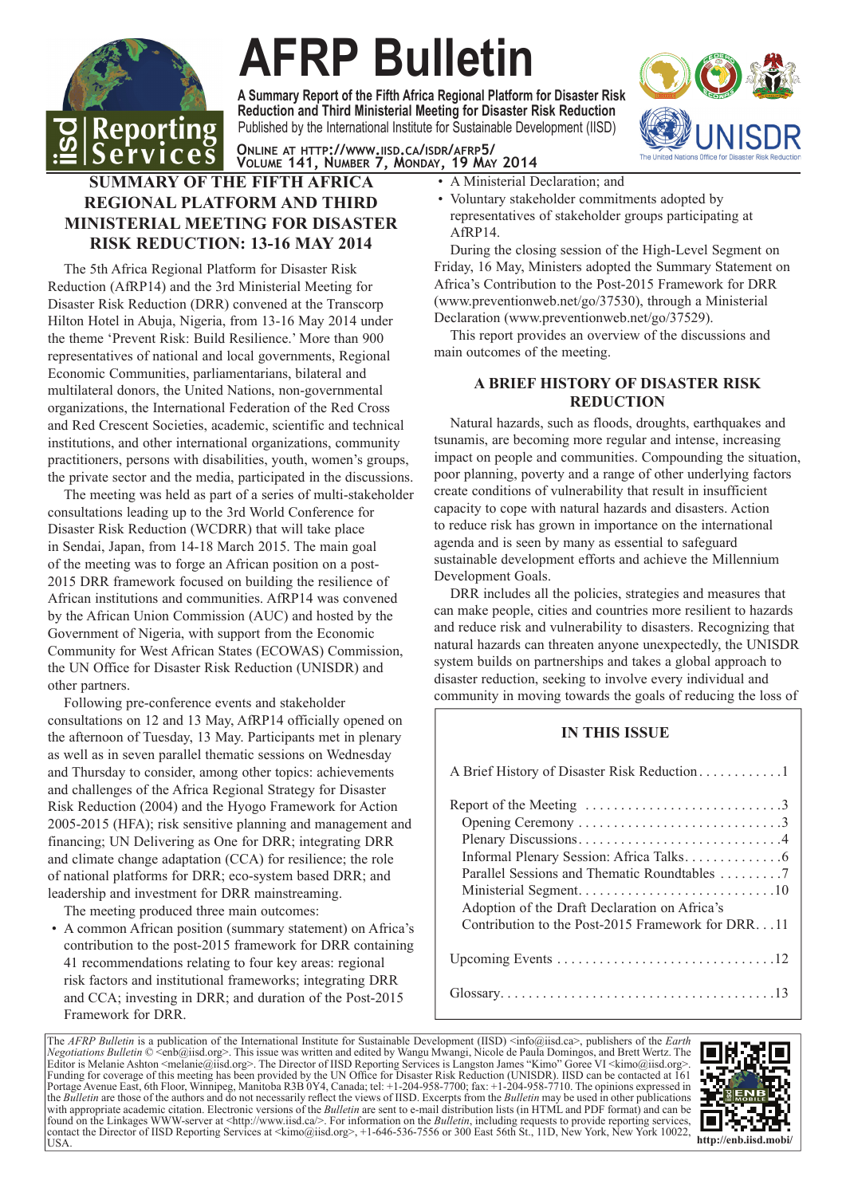

# **AFRP Bulletin**

Published by the International Institute for Sustainable Development (IISD) **A Summary Report of the Fifth Africa Regional Platform for Disaster Risk Reduction and Third Ministerial Meeting for Disaster Risk Reduction**



**ONLINE AT HTTP://WWW.IISD.CA/ISDR/AFRP5/ VOLUME 141, NUMBER 7, MONDAY, 19 MAY 2014**

# **SUMMARY OF THE FIFTH AFRICA REGIONAL PLATFORM AND THIRD MINISTERIAL MEETING FOR DISASTER RISK REDUCTION: 13-16 MAY 2014**

The 5th Africa Regional Platform for Disaster Risk Reduction (AfRP14) and the 3rd Ministerial Meeting for Disaster Risk Reduction (DRR) convened at the Transcorp Hilton Hotel in Abuja, Nigeria, from 13-16 May 2014 under the theme 'Prevent Risk: Build Resilience.' More than 900 representatives of national and local governments, Regional Economic Communities, parliamentarians, bilateral and multilateral donors, the United Nations, non-governmental organizations, the International Federation of the Red Cross and Red Crescent Societies, academic, scientific and technical institutions, and other international organizations, community practitioners, persons with disabilities, youth, women's groups, the private sector and the media, participated in the discussions.

The meeting was held as part of a series of multi-stakeholder consultations leading up to the 3rd World Conference for Disaster Risk Reduction (WCDRR) that will take place in Sendai, Japan, from 14-18 March 2015. The main goal of the meeting was to forge an African position on a post-2015 DRR framework focused on building the resilience of African institutions and communities. AfRP14 was convened by the African Union Commission (AUC) and hosted by the Government of Nigeria, with support from the Economic Community for West African States (ECOWAS) Commission, the UN Office for Disaster Risk Reduction (UNISDR) and other partners.

Following pre-conference events and stakeholder consultations on 12 and 13 May, AfRP14 officially opened on the afternoon of Tuesday, 13 May. Participants met in plenary as well as in seven parallel thematic sessions on Wednesday and Thursday to consider, among other topics: achievements and challenges of the Africa Regional Strategy for Disaster Risk Reduction (2004) and the Hyogo Framework for Action 2005-2015 (HFA); risk sensitive planning and management and financing; UN Delivering as One for DRR; integrating DRR and climate change adaptation (CCA) for resilience; the role of national platforms for DRR; eco-system based DRR; and leadership and investment for DRR mainstreaming.

The meeting produced three main outcomes:

• A common African position (summary statement) on Africa's contribution to the post-2015 framework for DRR containing 41 recommendations relating to four key areas: regional risk factors and institutional frameworks; integrating DRR and CCA; investing in DRR; and duration of the Post-2015 Framework for DRR.

- A Ministerial Declaration; and
- Voluntary stakeholder commitments adopted by representatives of stakeholder groups participating at AfRP14.

During the closing session of the High-Level Segment on Friday, 16 May, Ministers adopted the Summary Statement on Africa's Contribution to the Post-2015 Framework for DRR (www.preventionweb.net/go/37530), through a Ministerial Declaration (www.preventionweb.net/go/37529).

This report provides an overview of the discussions and main outcomes of the meeting.

# **A BRIEF HISTORY OF DISASTER RISK REDUCTION**

Natural hazards, such as floods, droughts, earthquakes and tsunamis, are becoming more regular and intense, increasing impact on people and communities. Compounding the situation, poor planning, poverty and a range of other underlying factors create conditions of vulnerability that result in insufficient capacity to cope with natural hazards and disasters. Action to reduce risk has grown in importance on the international agenda and is seen by many as essential to safeguard sustainable development efforts and achieve the Millennium Development Goals.

DRR includes all the policies, strategies and measures that can make people, cities and countries more resilient to hazards and reduce risk and vulnerability to disasters. Recognizing that natural hazards can threaten anyone unexpectedly, the UNISDR system builds on partnerships and takes a global approach to disaster reduction, seeking to involve every individual and community in moving towards the goals of reducing the loss of

# **IN THIS ISSUE**

The *AFRP Bulletin* is a publication of the International Institute for Sustainable Development (IISD) <info@iisd.ca>, publishers of the *Earth Negotiations Bulletin* © <enb@iisd.org>. This issue was written and edited by Wangu Mwangi, Nicole de Paula Domingos, and Brett Wertz. The Editor is Melanie Ashton <melanie@iisd.org>. The Director of IISD Reporting Services is Langston James "Kimo" Goree VI <kimo@iisd.org>. Funding for coverage of this meeting has been provided by the UN Office for Disaster Risk Reduction (UNISDR). IISD can be contacted at 161 Portage Avenue East, 6th Floor, Winnipeg, Manitoba R3B 0Y4, Canada; tel: +1-204-958-7700; fax: +1-204-958-7710. The opinions expressed in the *Bulletin* are those of the authors and do not necessarily reflect the views of IISD. Excerpts from the *Bulletin* may be used in other publications with appropriate academic citation. Electronic versions of the *Bulletin* are sent to e-mail distribution lists (in HTML and PDF format) and can be found on the Linkages WWW-server at <http://www.iisd.ca/>. For information on the *Bulletin*, including requests to provide reporting services, contact the Director of IISD Reporting Services at <kimo@iisd.org>, +1-646-536-7556 or 300 East 56th St., 11D, New York, New York 10022, USA. **http://enb.iisd.mobi/**

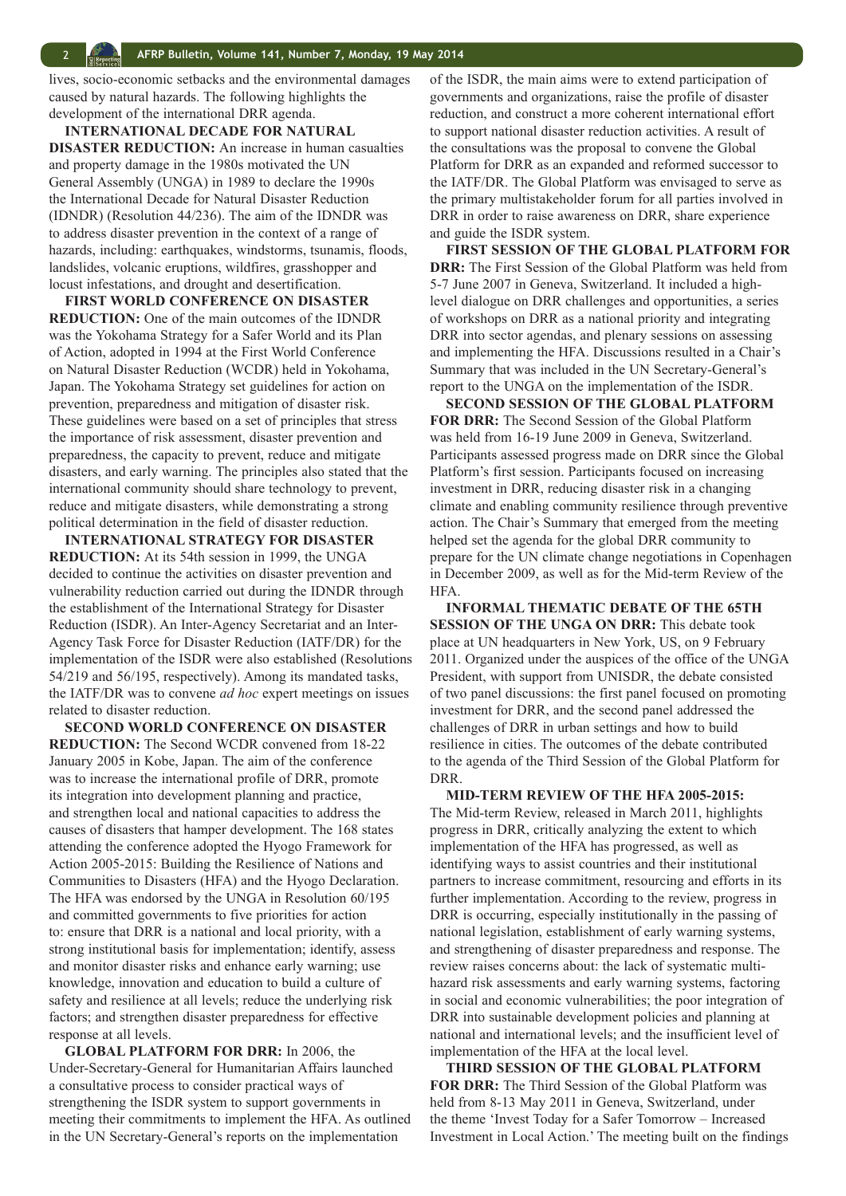lives, socio-economic setbacks and the environmental damages caused by natural hazards. The following highlights the development of the international DRR agenda.

**INTERNATIONAL DECADE FOR NATURAL DISASTER REDUCTION:** An increase in human casualties and property damage in the 1980s motivated the UN General Assembly (UNGA) in 1989 to declare the 1990s the International Decade for Natural Disaster Reduction (IDNDR) (Resolution 44/236). The aim of the IDNDR was to address disaster prevention in the context of a range of hazards, including: earthquakes, windstorms, tsunamis, floods, landslides, volcanic eruptions, wildfires, grasshopper and locust infestations, and drought and desertification.

**FIRST WORLD CONFERENCE ON DISASTER REDUCTION:** One of the main outcomes of the IDNDR was the Yokohama Strategy for a Safer World and its Plan of Action, adopted in 1994 at the First World Conference on Natural Disaster Reduction (WCDR) held in Yokohama, Japan. The Yokohama Strategy set guidelines for action on prevention, preparedness and mitigation of disaster risk. These guidelines were based on a set of principles that stress the importance of risk assessment, disaster prevention and preparedness, the capacity to prevent, reduce and mitigate disasters, and early warning. The principles also stated that the international community should share technology to prevent, reduce and mitigate disasters, while demonstrating a strong political determination in the field of disaster reduction.

**INTERNATIONAL STRATEGY FOR DISASTER REDUCTION:** At its 54th session in 1999, the UNGA decided to continue the activities on disaster prevention and vulnerability reduction carried out during the IDNDR through the establishment of the International Strategy for Disaster Reduction (ISDR). An Inter-Agency Secretariat and an Inter-Agency Task Force for Disaster Reduction (IATF/DR) for the implementation of the ISDR were also established (Resolutions 54/219 and 56/195, respectively). Among its mandated tasks, the IATF/DR was to convene *ad hoc* expert meetings on issues related to disaster reduction.

**SECOND WORLD CONFERENCE ON DISASTER REDUCTION:** The Second WCDR convened from 18-22 January 2005 in Kobe, Japan. The aim of the conference was to increase the international profile of DRR, promote its integration into development planning and practice, and strengthen local and national capacities to address the causes of disasters that hamper development. The 168 states attending the conference adopted the Hyogo Framework for Action 2005-2015: Building the Resilience of Nations and Communities to Disasters (HFA) and the Hyogo Declaration. The HFA was endorsed by the UNGA in Resolution 60/195 and committed governments to five priorities for action to: ensure that DRR is a national and local priority, with a strong institutional basis for implementation; identify, assess and monitor disaster risks and enhance early warning; use knowledge, innovation and education to build a culture of safety and resilience at all levels; reduce the underlying risk factors; and strengthen disaster preparedness for effective response at all levels.

**GLOBAL PLATFORM FOR DRR:** In 2006, the Under-Secretary-General for Humanitarian Affairs launched a consultative process to consider practical ways of strengthening the ISDR system to support governments in meeting their commitments to implement the HFA. As outlined in the UN Secretary-General's reports on the implementation

of the ISDR, the main aims were to extend participation of governments and organizations, raise the profile of disaster reduction, and construct a more coherent international effort to support national disaster reduction activities. A result of the consultations was the proposal to convene the Global Platform for DRR as an expanded and reformed successor to the IATF/DR. The Global Platform was envisaged to serve as the primary multistakeholder forum for all parties involved in DRR in order to raise awareness on DRR, share experience and guide the ISDR system.

**FIRST SESSION OF THE GLOBAL PLATFORM FOR DRR:** The First Session of the Global Platform was held from 5-7 June 2007 in Geneva, Switzerland. It included a highlevel dialogue on DRR challenges and opportunities, a series of workshops on DRR as a national priority and integrating DRR into sector agendas, and plenary sessions on assessing and implementing the HFA. Discussions resulted in a Chair's Summary that was included in the UN Secretary-General's report to the UNGA on the implementation of the ISDR.

**SECOND SESSION OF THE GLOBAL PLATFORM FOR DRR:** The Second Session of the Global Platform was held from 16-19 June 2009 in Geneva, Switzerland. Participants assessed progress made on DRR since the Global Platform's first session. Participants focused on increasing investment in DRR, reducing disaster risk in a changing climate and enabling community resilience through preventive action. The Chair's Summary that emerged from the meeting helped set the agenda for the global DRR community to prepare for the UN climate change negotiations in Copenhagen in December 2009, as well as for the Mid-term Review of the HFA.

**INFORMAL THEMATIC DEBATE OF THE 65TH SESSION OF THE UNGA ON DRR:** This debate took place at UN headquarters in New York, US, on 9 February 2011. Organized under the auspices of the office of the UNGA President, with support from UNISDR, the debate consisted of two panel discussions: the first panel focused on promoting investment for DRR, and the second panel addressed the challenges of DRR in urban settings and how to build resilience in cities. The outcomes of the debate contributed to the agenda of the Third Session of the Global Platform for DRR.

**MID-TERM REVIEW OF THE HFA 2005-2015:** The Mid-term Review, released in March 2011, highlights progress in DRR, critically analyzing the extent to which implementation of the HFA has progressed, as well as identifying ways to assist countries and their institutional partners to increase commitment, resourcing and efforts in its further implementation. According to the review, progress in DRR is occurring, especially institutionally in the passing of national legislation, establishment of early warning systems, and strengthening of disaster preparedness and response. The review raises concerns about: the lack of systematic multihazard risk assessments and early warning systems, factoring in social and economic vulnerabilities; the poor integration of DRR into sustainable development policies and planning at national and international levels; and the insufficient level of implementation of the HFA at the local level.

**THIRD SESSION OF THE GLOBAL PLATFORM FOR DRR:** The Third Session of the Global Platform was held from 8-13 May 2011 in Geneva, Switzerland, under the theme 'Invest Today for a Safer Tomorrow – Increased Investment in Local Action.' The meeting built on the findings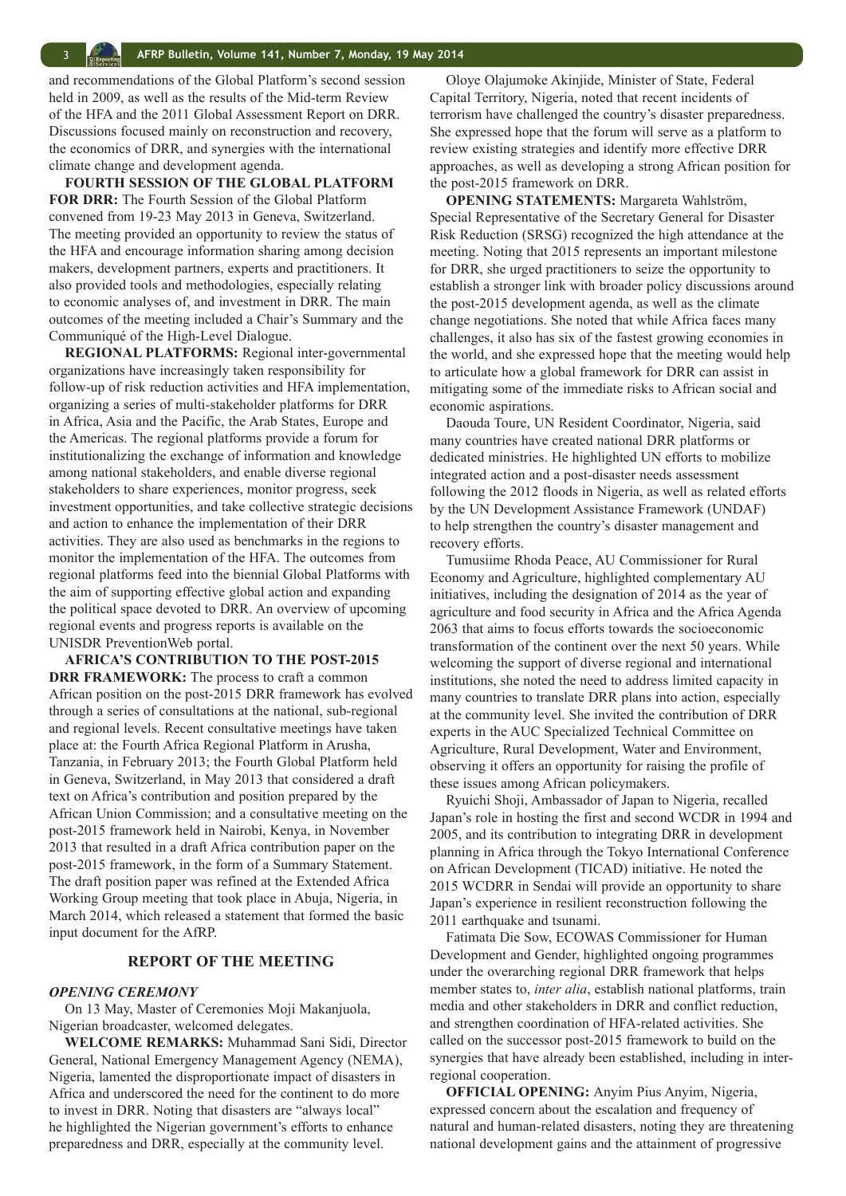and recommendations of the Global Platform's second session held in 2009, as well as the results of the Mid-term Review of the HFA and the 2011 Global Assessment Report on DRR. Discussions focused mainly on reconstruction and recovery, the economics of DRR, and synergies with the international climate change and development agenda.

**FOURTH SESSION OF THE GLOBAL PLATFORM FOR DRR:** The Fourth Session of the Global Platform convened from 19-23 May 2013 in Geneva, Switzerland. The meeting provided an opportunity to review the status of the HFA and encourage information sharing among decision makers, development partners, experts and practitioners. It also provided tools and methodologies, especially relating to economic analyses of, and investment in DRR. The main outcomes of the meeting included a Chair's Summary and the Communiqué of the High-Level Dialogue.

**REGIONAL PLATFORMS:** Regional inter-governmental organizations have increasingly taken responsibility for follow-up of risk reduction activities and HFA implementation, organizing a series of multi-stakeholder platforms for DRR in Africa, Asia and the Pacific, the Arab States, Europe and the Americas. The regional platforms provide a forum for institutionalizing the exchange of information and knowledge among national stakeholders, and enable diverse regional stakeholders to share experiences, monitor progress, seek investment opportunities, and take collective strategic decisions and action to enhance the implementation of their DRR activities. They are also used as benchmarks in the regions to monitor the implementation of the HFA. The outcomes from regional platforms feed into the biennial Global Platforms with the aim of supporting effective global action and expanding the political space devoted to DRR. An overview of upcoming regional events and progress reports is available on the UNISDR PreventionWeb portal.

**AFRICA'S CONTRIBUTION TO THE POST-2015 DRR FRAMEWORK:** The process to craft a common African position on the post-2015 DRR framework has evolved through a series of consultations at the national, sub-regional and regional levels. Recent consultative meetings have taken place at: the Fourth Africa Regional Platform in Arusha, Tanzania, in February 2013; the Fourth Global Platform held in Geneva, Switzerland, in May 2013 that considered a draft text on Africa's contribution and position prepared by the African Union Commission; and a consultative meeting on the post-2015 framework held in Nairobi, Kenya, in November 2013 that resulted in a draft Africa contribution paper on the post-2015 framework, in the form of a Summary Statement. The draft position paper was refined at the Extended Africa Working Group meeting that took place in Abuja, Nigeria, in March 2014, which released a statement that formed the basic input document for the AfRP.

#### **REPORT OF THE MEETING**

#### *OPENING CEREMONY*

On 13 May, Master of Ceremonies Moji Makanjuola, Nigerian broadcaster, welcomed delegates.

**WELCOME REMARKS:** Muhammad Sani Sidi, Director General, National Emergency Management Agency (NEMA), Nigeria, lamented the disproportionate impact of disasters in Africa and underscored the need for the continent to do more to invest in DRR. Noting that disasters are "always local" he highlighted the Nigerian government's efforts to enhance preparedness and DRR, especially at the community level.

Oloye Olajumoke Akinjide, Minister of State, Federal Capital Territory, Nigeria, noted that recent incidents of terrorism have challenged the country's disaster preparedness. She expressed hope that the forum will serve as a platform to review existing strategies and identify more effective DRR approaches, as well as developing a strong African position for the post-2015 framework on DRR.

**OPENING STATEMENTS:** Margareta Wahlström, Special Representative of the Secretary General for Disaster Risk Reduction (SRSG) recognized the high attendance at the meeting. Noting that 2015 represents an important milestone for DRR, she urged practitioners to seize the opportunity to establish a stronger link with broader policy discussions around the post-2015 development agenda, as well as the climate change negotiations. She noted that while Africa faces many challenges, it also has six of the fastest growing economies in the world, and she expressed hope that the meeting would help to articulate how a global framework for DRR can assist in mitigating some of the immediate risks to African social and economic aspirations.

Daouda Toure, UN Resident Coordinator, Nigeria, said many countries have created national DRR platforms or dedicated ministries. He highlighted UN efforts to mobilize integrated action and a post-disaster needs assessment following the 2012 floods in Nigeria, as well as related efforts by the UN Development Assistance Framework (UNDAF) to help strengthen the country's disaster management and recovery efforts.

Tumusiime Rhoda Peace, AU Commissioner for Rural Economy and Agriculture, highlighted complementary AU initiatives, including the designation of 2014 as the year of agriculture and food security in Africa and the Africa Agenda 2063 that aims to focus efforts towards the socioeconomic transformation of the continent over the next 50 years. While welcoming the support of diverse regional and international institutions, she noted the need to address limited capacity in many countries to translate DRR plans into action, especially at the community level. She invited the contribution of DRR experts in the AUC Specialized Technical Committee on Agriculture, Rural Development, Water and Environment, observing it offers an opportunity for raising the profile of these issues among African policymakers.

Ryuichi Shoji, Ambassador of Japan to Nigeria, recalled Japan's role in hosting the first and second WCDR in 1994 and 2005, and its contribution to integrating DRR in development planning in Africa through the Tokyo International Conference on African Development (TICAD) initiative. He noted the 2015 WCDRR in Sendai will provide an opportunity to share Japan's experience in resilient reconstruction following the 2011 earthquake and tsunami.

Fatimata Die Sow, ECOWAS Commissioner for Human Development and Gender, highlighted ongoing programmes under the overarching regional DRR framework that helps member states to, *inter alia*, establish national platforms, train media and other stakeholders in DRR and conflict reduction, and strengthen coordination of HFA-related activities. She called on the successor post-2015 framework to build on the synergies that have already been established, including in interregional cooperation.

**OFFICIAL OPENING:** Anyim Pius Anyim, Nigeria, expressed concern about the escalation and frequency of natural and human-related disasters, noting they are threatening national development gains and the attainment of progressive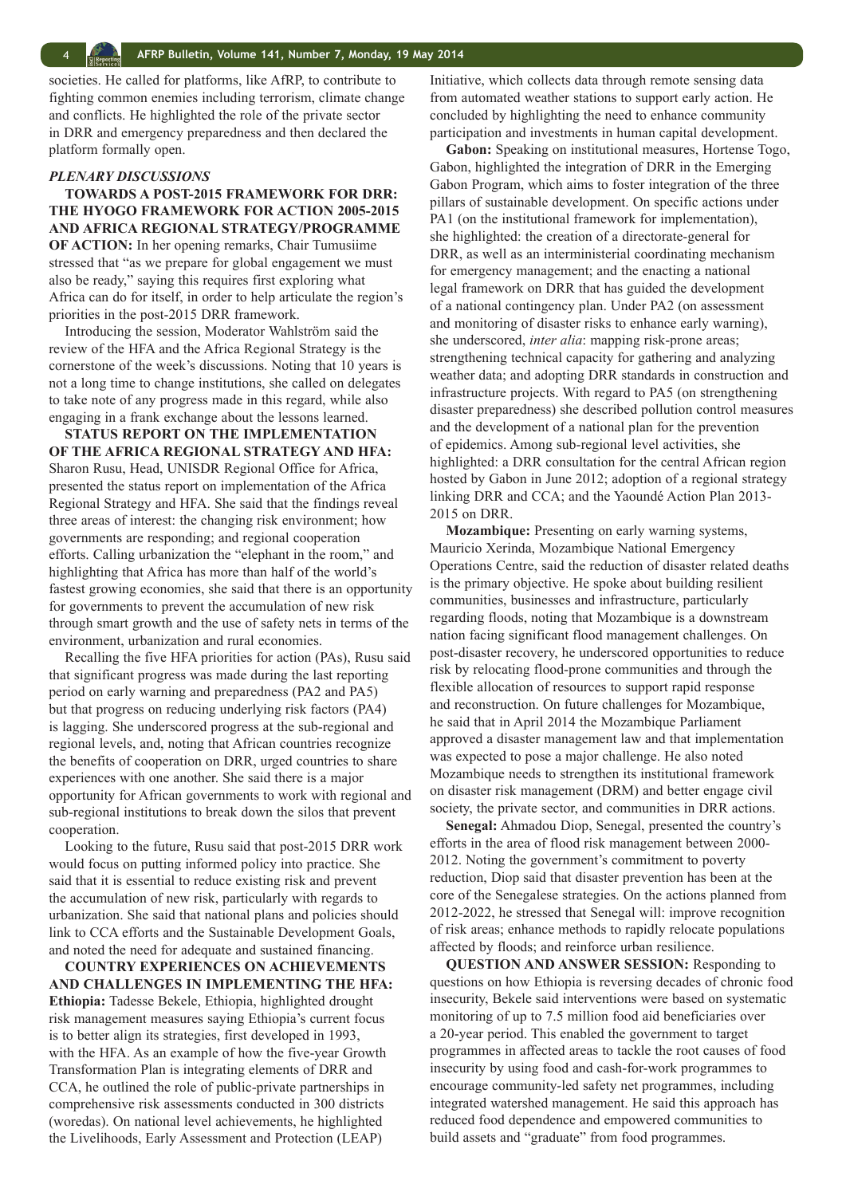<span id="page-3-0"></span>societies. He called for platforms, like AfRP, to contribute to fighting common enemies including terrorism, climate change and conflicts. He highlighted the role of the private sector in DRR and emergency preparedness and then declared the platform formally open.

#### *PLENARY DISCUSSIONS*

**TOWARDS A POST-2015 FRAMEWORK FOR DRR: THE HYOGO FRAMEWORK FOR ACTION 2005-2015 AND AFRICA REGIONAL STRATEGY/PROGRAMME OF ACTION:** In her opening remarks, Chair Tumusiime stressed that "as we prepare for global engagement we must also be ready," saying this requires first exploring what Africa can do for itself, in order to help articulate the region's priorities in the post-2015 DRR framework.

Introducing the session, Moderator Wahlström said the review of the HFA and the Africa Regional Strategy is the cornerstone of the week's discussions. Noting that 10 years is not a long time to change institutions, she called on delegates to take note of any progress made in this regard, while also engaging in a frank exchange about the lessons learned.

**STATUS REPORT ON THE IMPLEMENTATION OF THE AFRICA REGIONAL STRATEGY AND HFA:** Sharon Rusu, Head, UNISDR Regional Office for Africa, presented the status report on implementation of the Africa Regional Strategy and HFA. She said that the findings reveal three areas of interest: the changing risk environment; how governments are responding; and regional cooperation efforts. Calling urbanization the "elephant in the room," and highlighting that Africa has more than half of the world's fastest growing economies, she said that there is an opportunity for governments to prevent the accumulation of new risk through smart growth and the use of safety nets in terms of the environment, urbanization and rural economies.

Recalling the five HFA priorities for action (PAs), Rusu said that significant progress was made during the last reporting period on early warning and preparedness (PA2 and PA5) but that progress on reducing underlying risk factors (PA4) is lagging. She underscored progress at the sub-regional and regional levels, and, noting that African countries recognize the benefits of cooperation on DRR, urged countries to share experiences with one another. She said there is a major opportunity for African governments to work with regional and sub-regional institutions to break down the silos that prevent cooperation.

Looking to the future, Rusu said that post-2015 DRR work would focus on putting informed policy into practice. She said that it is essential to reduce existing risk and prevent the accumulation of new risk, particularly with regards to urbanization. She said that national plans and policies should link to CCA efforts and the Sustainable Development Goals, and noted the need for adequate and sustained financing.

**COUNTRY EXPERIENCES ON ACHIEVEMENTS AND CHALLENGES IN IMPLEMENTING THE HFA: Ethiopia:** Tadesse Bekele, Ethiopia, highlighted drought risk management measures saying Ethiopia's current focus is to better align its strategies, first developed in 1993, with the HFA. As an example of how the five-year Growth Transformation Plan is integrating elements of DRR and CCA, he outlined the role of public-private partnerships in comprehensive risk assessments conducted in 300 districts (woredas). On national level achievements, he highlighted the Livelihoods, Early Assessment and Protection (LEAP)

Initiative, which collects data through remote sensing data from automated weather stations to support early action. He concluded by highlighting the need to enhance community participation and investments in human capital development.

**Gabon:** Speaking on institutional measures, Hortense Togo, Gabon, highlighted the integration of DRR in the Emerging Gabon Program, which aims to foster integration of the three pillars of sustainable development. On specific actions under PA1 (on the institutional framework for implementation), she highlighted: the creation of a directorate-general for DRR, as well as an interministerial coordinating mechanism for emergency management; and the enacting a national legal framework on DRR that has guided the development of a national contingency plan. Under PA2 (on assessment and monitoring of disaster risks to enhance early warning), she underscored, *inter alia*: mapping risk-prone areas; strengthening technical capacity for gathering and analyzing weather data; and adopting DRR standards in construction and infrastructure projects. With regard to PA5 (on strengthening disaster preparedness) she described pollution control measures and the development of a national plan for the prevention of epidemics. Among sub-regional level activities, she highlighted: a DRR consultation for the central African region hosted by Gabon in June 2012; adoption of a regional strategy linking DRR and CCA; and the Yaoundé Action Plan 2013- 2015 on DRR.

**Mozambique:** Presenting on early warning systems, Mauricio Xerinda, Mozambique National Emergency Operations Centre, said the reduction of disaster related deaths is the primary objective. He spoke about building resilient communities, businesses and infrastructure, particularly regarding floods, noting that Mozambique is a downstream nation facing significant flood management challenges. On post-disaster recovery, he underscored opportunities to reduce risk by relocating flood-prone communities and through the flexible allocation of resources to support rapid response and reconstruction. On future challenges for Mozambique, he said that in April 2014 the Mozambique Parliament approved a disaster management law and that implementation was expected to pose a major challenge. He also noted Mozambique needs to strengthen its institutional framework on disaster risk management (DRM) and better engage civil society, the private sector, and communities in DRR actions.

**Senegal:** Ahmadou Diop, Senegal, presented the country's efforts in the area of flood risk management between 2000- 2012. Noting the government's commitment to poverty reduction, Diop said that disaster prevention has been at the core of the Senegalese strategies. On the actions planned from 2012-2022, he stressed that Senegal will: improve recognition of risk areas; enhance methods to rapidly relocate populations affected by floods; and reinforce urban resilience.

**QUESTION AND ANSWER SESSION:** Responding to questions on how Ethiopia is reversing decades of chronic food insecurity, Bekele said interventions were based on systematic monitoring of up to 7.5 million food aid beneficiaries over a 20-year period. This enabled the government to target programmes in affected areas to tackle the root causes of food insecurity by using food and cash-for-work programmes to encourage community-led safety net programmes, including integrated watershed management. He said this approach has reduced food dependence and empowered communities to build assets and "graduate" from food programmes.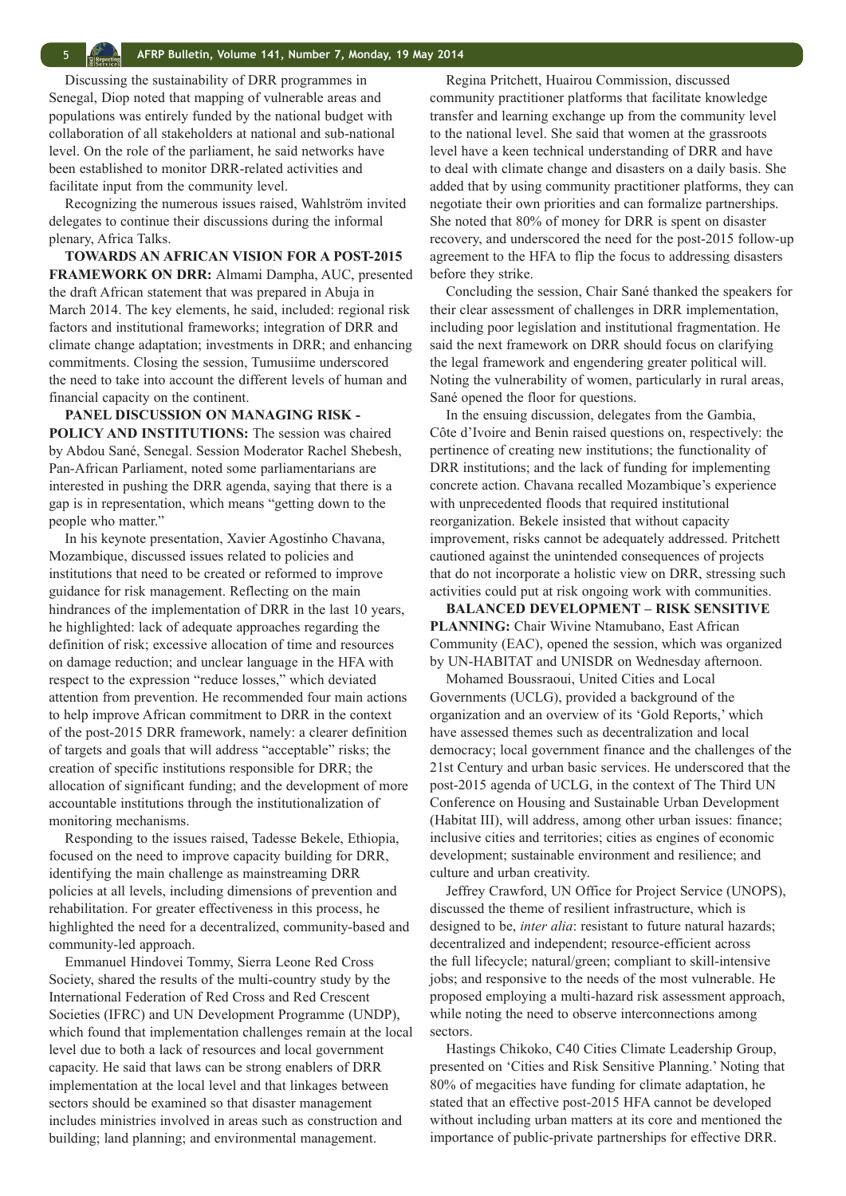Discussing the sustainability of DRR programmes in Senegal, Diop noted that mapping of vulnerable areas and populations was entirely funded by the national budget with collaboration of all stakeholders at national and sub-national level. On the role of the parliament, he said networks have been established to monitor DRR-related activities and facilitate input from the community level.

Recognizing the numerous issues raised, Wahlström invited delegates to continue their discussions during the informal plenary, Africa Talks.

**TOWARDS AN AFRICAN VISION FOR A POST-2015 FRAMEWORK ON DRR:** Almami Dampha, AUC, presented the draft African statement that was prepared in Abuja in March 2014. The key elements, he said, included: regional risk factors and institutional frameworks; integration of DRR and climate change adaptation; investments in DRR; and enhancing commitments. Closing the session, Tumusiime underscored the need to take into account the different levels of human and financial capacity on the continent.

**PANEL DISCUSSION ON MANAGING RISK - POLICY AND INSTITUTIONS:** The session was chaired by Abdou Sané, Senegal. Session Moderator Rachel Shebesh, Pan-African Parliament, noted some parliamentarians are interested in pushing the DRR agenda, saying that there is a gap is in representation, which means "getting down to the people who matter."

In his keynote presentation, Xavier Agostinho Chavana, Mozambique, discussed issues related to policies and institutions that need to be created or reformed to improve guidance for risk management. Reflecting on the main hindrances of the implementation of DRR in the last 10 years, he highlighted: lack of adequate approaches regarding the definition of risk; excessive allocation of time and resources on damage reduction; and unclear language in the HFA with respect to the expression "reduce losses," which deviated attention from prevention. He recommended four main actions to help improve African commitment to DRR in the context of the post-2015 DRR framework, namely: a clearer definition of targets and goals that will address "acceptable" risks; the creation of specific institutions responsible for DRR; the allocation of significant funding; and the development of more accountable institutions through the institutionalization of monitoring mechanisms.

Responding to the issues raised, Tadesse Bekele, Ethiopia, focused on the need to improve capacity building for DRR, identifying the main challenge as mainstreaming DRR policies at all levels, including dimensions of prevention and rehabilitation. For greater effectiveness in this process, he highlighted the need for a decentralized, community-based and community-led approach.

Emmanuel Hindovei Tommy, Sierra Leone Red Cross Society, shared the results of the multi-country study by the International Federation of Red Cross and Red Crescent Societies (IFRC) and UN Development Programme (UNDP), which found that implementation challenges remain at the local level due to both a lack of resources and local government capacity. He said that laws can be strong enablers of DRR implementation at the local level and that linkages between sectors should be examined so that disaster management includes ministries involved in areas such as construction and building; land planning; and environmental management.

Regina Pritchett, Huairou Commission, discussed community practitioner platforms that facilitate knowledge transfer and learning exchange up from the community level to the national level. She said that women at the grassroots level have a keen technical understanding of DRR and have to deal with climate change and disasters on a daily basis. She added that by using community practitioner platforms, they can negotiate their own priorities and can formalize partnerships. She noted that 80% of money for DRR is spent on disaster recovery, and underscored the need for the post-2015 follow-up agreement to the HFA to flip the focus to addressing disasters before they strike.

Concluding the session, Chair Sané thanked the speakers for their clear assessment of challenges in DRR implementation, including poor legislation and institutional fragmentation. He said the next framework on DRR should focus on clarifying the legal framework and engendering greater political will. Noting the vulnerability of women, particularly in rural areas, Sané opened the floor for questions.

In the ensuing discussion, delegates from the Gambia, Côte d'Ivoire and Benin raised questions on, respectively: the pertinence of creating new institutions; the functionality of DRR institutions; and the lack of funding for implementing concrete action. Chavana recalled Mozambique's experience with unprecedented floods that required institutional reorganization. Bekele insisted that without capacity improvement, risks cannot be adequately addressed. Pritchett cautioned against the unintended consequences of projects that do not incorporate a holistic view on DRR, stressing such activities could put at risk ongoing work with communities.

**BALANCED DEVELOPMENT – RISK SENSITIVE PLANNING:** Chair Wivine Ntamubano, East African Community (EAC), opened the session, which was organized by UN-HABITAT and UNISDR on Wednesday afternoon.

Mohamed Boussraoui, United Cities and Local Governments (UCLG), provided a background of the organization and an overview of its 'Gold Reports,' which have assessed themes such as decentralization and local democracy; local government finance and the challenges of the 21st Century and urban basic services. He underscored that the post-2015 agenda of UCLG, in the context of The Third UN Conference on Housing and Sustainable Urban Development (Habitat III), will address, among other urban issues: finance; inclusive cities and territories; cities as engines of economic development; sustainable environment and resilience; and culture and urban creativity.

Jeffrey Crawford, UN Office for Project Service (UNOPS), discussed the theme of resilient infrastructure, which is designed to be, *inter alia*: resistant to future natural hazards; decentralized and independent; resource-efficient across the full lifecycle; natural/green; compliant to skill-intensive jobs; and responsive to the needs of the most vulnerable. He proposed employing a multi-hazard risk assessment approach, while noting the need to observe interconnections among sectors.

Hastings Chikoko, C40 Cities Climate Leadership Group, presented on 'Cities and Risk Sensitive Planning.' Noting that 80% of megacities have funding for climate adaptation, he stated that an effective post-2015 HFA cannot be developed without including urban matters at its core and mentioned the importance of public-private partnerships for effective DRR.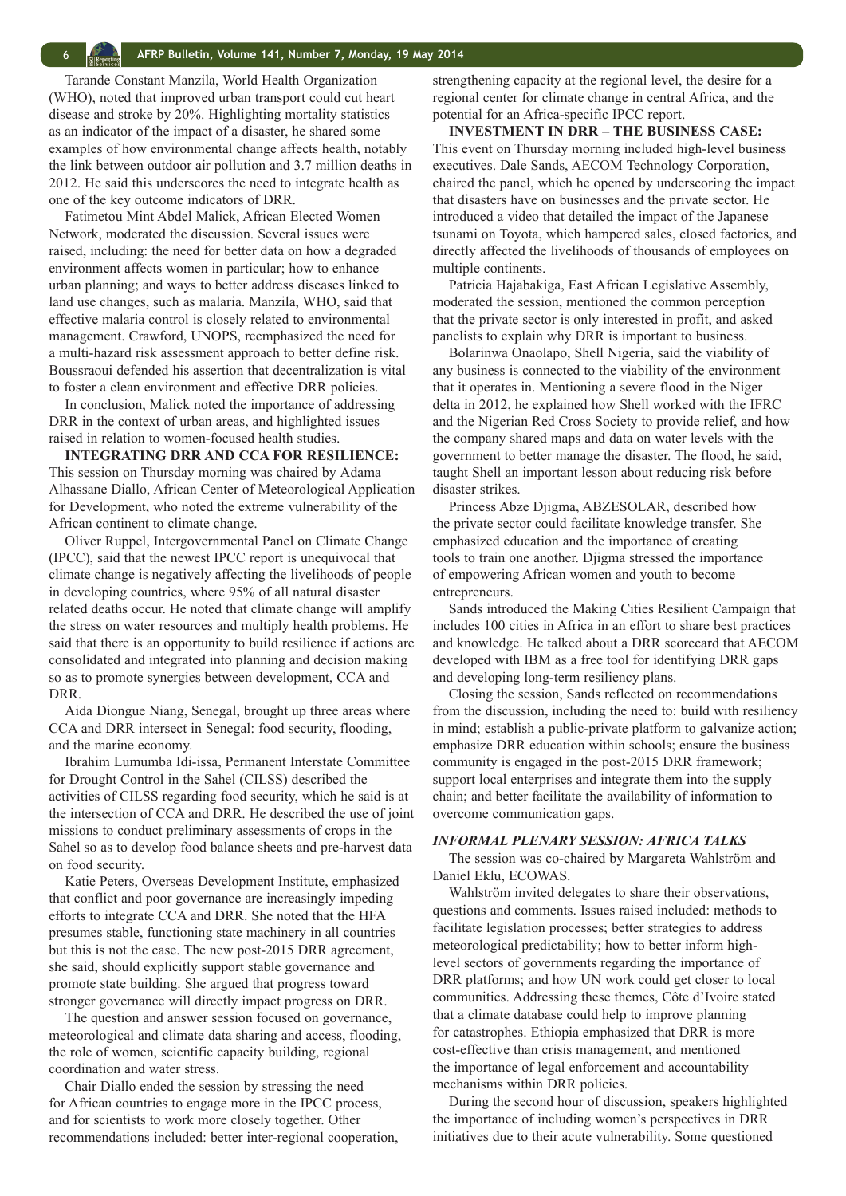<span id="page-5-0"></span>Tarande Constant Manzila, World Health Organization (WHO), noted that improved urban transport could cut heart disease and stroke by 20%. Highlighting mortality statistics as an indicator of the impact of a disaster, he shared some examples of how environmental change affects health, notably the link between outdoor air pollution and 3.7 million deaths in 2012. He said this underscores the need to integrate health as one of the key outcome indicators of DRR.

Fatimetou Mint Abdel Malick, African Elected Women Network, moderated the discussion. Several issues were raised, including: the need for better data on how a degraded environment affects women in particular; how to enhance urban planning; and ways to better address diseases linked to land use changes, such as malaria. Manzila, WHO, said that effective malaria control is closely related to environmental management. Crawford, UNOPS, reemphasized the need for a multi-hazard risk assessment approach to better define risk. Boussraoui defended his assertion that decentralization is vital to foster a clean environment and effective DRR policies.

In conclusion, Malick noted the importance of addressing DRR in the context of urban areas, and highlighted issues raised in relation to women-focused health studies.

**INTEGRATING DRR AND CCA FOR RESILIENCE:**  This session on Thursday morning was chaired by Adama Alhassane Diallo, African Center of Meteorological Application for Development, who noted the extreme vulnerability of the African continent to climate change.

Oliver Ruppel, Intergovernmental Panel on Climate Change (IPCC), said that the newest IPCC report is unequivocal that climate change is negatively affecting the livelihoods of people in developing countries, where 95% of all natural disaster related deaths occur. He noted that climate change will amplify the stress on water resources and multiply health problems. He said that there is an opportunity to build resilience if actions are consolidated and integrated into planning and decision making so as to promote synergies between development, CCA and DRR.

Aida Diongue Niang, Senegal, brought up three areas where CCA and DRR intersect in Senegal: food security, flooding, and the marine economy.

Ibrahim Lumumba Idi-issa, Permanent Interstate Committee for Drought Control in the Sahel (CILSS) described the activities of CILSS regarding food security, which he said is at the intersection of CCA and DRR. He described the use of joint missions to conduct preliminary assessments of crops in the Sahel so as to develop food balance sheets and pre-harvest data on food security.

Katie Peters, Overseas Development Institute, emphasized that conflict and poor governance are increasingly impeding efforts to integrate CCA and DRR. She noted that the HFA presumes stable, functioning state machinery in all countries but this is not the case. The new post-2015 DRR agreement, she said, should explicitly support stable governance and promote state building. She argued that progress toward stronger governance will directly impact progress on DRR.

The question and answer session focused on governance, meteorological and climate data sharing and access, flooding, the role of women, scientific capacity building, regional coordination and water stress.

Chair Diallo ended the session by stressing the need for African countries to engage more in the IPCC process, and for scientists to work more closely together. Other recommendations included: better inter-regional cooperation, strengthening capacity at the regional level, the desire for a regional center for climate change in central Africa, and the potential for an Africa-specific IPCC report.

**INVESTMENT IN DRR – THE BUSINESS CASE:**  This event on Thursday morning included high-level business executives. Dale Sands, AECOM Technology Corporation, chaired the panel, which he opened by underscoring the impact that disasters have on businesses and the private sector. He introduced a video that detailed the impact of the Japanese tsunami on Toyota, which hampered sales, closed factories, and directly affected the livelihoods of thousands of employees on multiple continents.

Patricia Hajabakiga, East African Legislative Assembly, moderated the session, mentioned the common perception that the private sector is only interested in profit, and asked panelists to explain why DRR is important to business.

Bolarinwa Onaolapo, Shell Nigeria, said the viability of any business is connected to the viability of the environment that it operates in. Mentioning a severe flood in the Niger delta in 2012, he explained how Shell worked with the IFRC and the Nigerian Red Cross Society to provide relief, and how the company shared maps and data on water levels with the government to better manage the disaster. The flood, he said, taught Shell an important lesson about reducing risk before disaster strikes.

Princess Abze Djigma, ABZESOLAR, described how the private sector could facilitate knowledge transfer. She emphasized education and the importance of creating tools to train one another. Djigma stressed the importance of empowering African women and youth to become entrepreneurs.

Sands introduced the Making Cities Resilient Campaign that includes 100 cities in Africa in an effort to share best practices and knowledge. He talked about a DRR scorecard that AECOM developed with IBM as a free tool for identifying DRR gaps and developing long-term resiliency plans.

Closing the session, Sands reflected on recommendations from the discussion, including the need to: build with resiliency in mind; establish a public-private platform to galvanize action; emphasize DRR education within schools; ensure the business community is engaged in the post-2015 DRR framework; support local enterprises and integrate them into the supply chain; and better facilitate the availability of information to overcome communication gaps.

#### *INFORMAL PLENARY SESSION: AFRICA TALKS*

The session was co-chaired by Margareta Wahlström and Daniel Eklu, ECOWAS.

Wahlström invited delegates to share their observations, questions and comments. Issues raised included: methods to facilitate legislation processes; better strategies to address meteorological predictability; how to better inform highlevel sectors of governments regarding the importance of DRR platforms; and how UN work could get closer to local communities. Addressing these themes, Côte d'Ivoire stated that a climate database could help to improve planning for catastrophes. Ethiopia emphasized that DRR is more cost-effective than crisis management, and mentioned the importance of legal enforcement and accountability mechanisms within DRR policies.

During the second hour of discussion, speakers highlighted the importance of including women's perspectives in DRR initiatives due to their acute vulnerability. Some questioned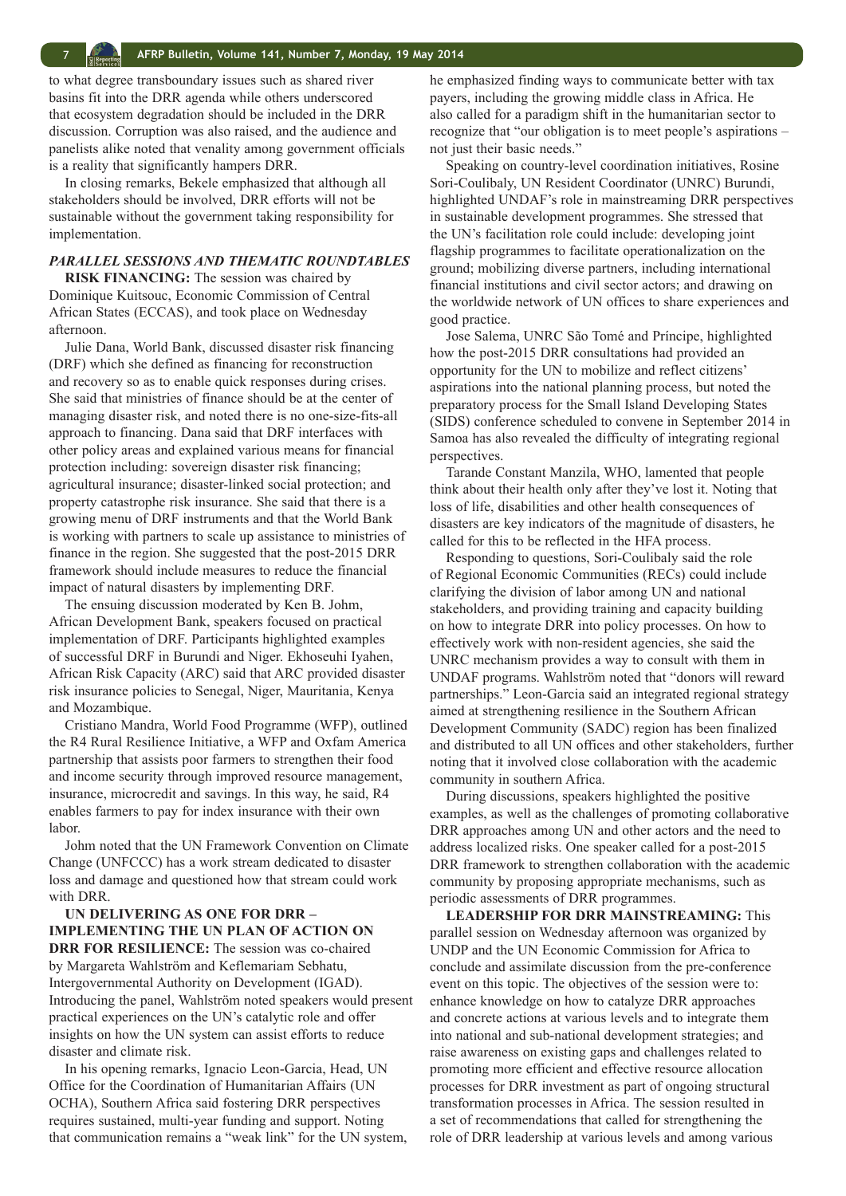to what degree transboundary issues such as shared river basins fit into the DRR agenda while others underscored that ecosystem degradation should be included in the DRR discussion. Corruption was also raised, and the audience and panelists alike noted that venality among government officials is a reality that significantly hampers DRR.

In closing remarks, Bekele emphasized that although all stakeholders should be involved, DRR efforts will not be sustainable without the government taking responsibility for implementation.

# *PARALLEL SESSIONS AND THEMATIC ROUNDTABLES*

**RISK FINANCING:** The session was chaired by Dominique Kuitsouc, Economic Commission of Central African States (ECCAS), and took place on Wednesday afternoon.

Julie Dana, World Bank, discussed disaster risk financing (DRF) which she defined as financing for reconstruction and recovery so as to enable quick responses during crises. She said that ministries of finance should be at the center of managing disaster risk, and noted there is no one-size-fits-all approach to financing. Dana said that DRF interfaces with other policy areas and explained various means for financial protection including: sovereign disaster risk financing; agricultural insurance; disaster-linked social protection; and property catastrophe risk insurance. She said that there is a growing menu of DRF instruments and that the World Bank is working with partners to scale up assistance to ministries of finance in the region. She suggested that the post-2015 DRR framework should include measures to reduce the financial impact of natural disasters by implementing DRF.

The ensuing discussion moderated by Ken B. Johm, African Development Bank, speakers focused on practical implementation of DRF. Participants highlighted examples of successful DRF in Burundi and Niger. Ekhoseuhi Iyahen, African Risk Capacity (ARC) said that ARC provided disaster risk insurance policies to Senegal, Niger, Mauritania, Kenya and Mozambique.

Cristiano Mandra, World Food Programme (WFP), outlined the R4 Rural Resilience Initiative, a WFP and Oxfam America partnership that assists poor farmers to strengthen their food and income security through improved resource management, insurance, microcredit and savings. In this way, he said, R4 enables farmers to pay for index insurance with their own labor.

Johm noted that the UN Framework Convention on Climate Change (UNFCCC) has a work stream dedicated to disaster loss and damage and questioned how that stream could work with DRR.

**UN DELIVERING AS ONE FOR DRR – IMPLEMENTING THE UN PLAN OF ACTION ON DRR FOR RESILIENCE:** The session was co-chaired by Margareta Wahlström and Keflemariam Sebhatu, Intergovernmental Authority on Development (IGAD). Introducing the panel, Wahlström noted speakers would present practical experiences on the UN's catalytic role and offer insights on how the UN system can assist efforts to reduce disaster and climate risk.

In his opening remarks, Ignacio Leon-Garcia, Head, UN Office for the Coordination of Humanitarian Affairs (UN OCHA), Southern Africa said fostering DRR perspectives requires sustained, multi-year funding and support. Noting that communication remains a "weak link" for the UN system, he emphasized finding ways to communicate better with tax payers, including the growing middle class in Africa. He also called for a paradigm shift in the humanitarian sector to recognize that "our obligation is to meet people's aspirations – not just their basic needs."

Speaking on country-level coordination initiatives, Rosine Sori-Coulibaly, UN Resident Coordinator (UNRC) Burundi, highlighted UNDAF's role in mainstreaming DRR perspectives in sustainable development programmes. She stressed that the UN's facilitation role could include: developing joint flagship programmes to facilitate operationalization on the ground; mobilizing diverse partners, including international financial institutions and civil sector actors; and drawing on the worldwide network of UN offices to share experiences and good practice.

Jose Salema, UNRC São Tomé and Príncipe, highlighted how the post-2015 DRR consultations had provided an opportunity for the UN to mobilize and reflect citizens' aspirations into the national planning process, but noted the preparatory process for the Small Island Developing States (SIDS) conference scheduled to convene in September 2014 in Samoa has also revealed the difficulty of integrating regional perspectives.

Tarande Constant Manzila, WHO, lamented that people think about their health only after they've lost it. Noting that loss of life, disabilities and other health consequences of disasters are key indicators of the magnitude of disasters, he called for this to be reflected in the HFA process.

Responding to questions, Sori-Coulibaly said the role of Regional Economic Communities (RECs) could include clarifying the division of labor among UN and national stakeholders, and providing training and capacity building on how to integrate DRR into policy processes. On how to effectively work with non-resident agencies, she said the UNRC mechanism provides a way to consult with them in UNDAF programs. Wahlström noted that "donors will reward partnerships." Leon-Garcia said an integrated regional strategy aimed at strengthening resilience in the Southern African Development Community (SADC) region has been finalized and distributed to all UN offices and other stakeholders, further noting that it involved close collaboration with the academic community in southern Africa.

During discussions, speakers highlighted the positive examples, as well as the challenges of promoting collaborative DRR approaches among UN and other actors and the need to address localized risks. One speaker called for a post-2015 DRR framework to strengthen collaboration with the academic community by proposing appropriate mechanisms, such as periodic assessments of DRR programmes.

**LEADERSHIP FOR DRR MAINSTREAMING:** This parallel session on Wednesday afternoon was organized by UNDP and the UN Economic Commission for Africa to conclude and assimilate discussion from the pre-conference event on this topic. The objectives of the session were to: enhance knowledge on how to catalyze DRR approaches and concrete actions at various levels and to integrate them into national and sub-national development strategies; and raise awareness on existing gaps and challenges related to promoting more efficient and effective resource allocation processes for DRR investment as part of ongoing structural transformation processes in Africa. The session resulted in a set of recommendations that called for strengthening the role of DRR leadership at various levels and among various

<span id="page-6-0"></span>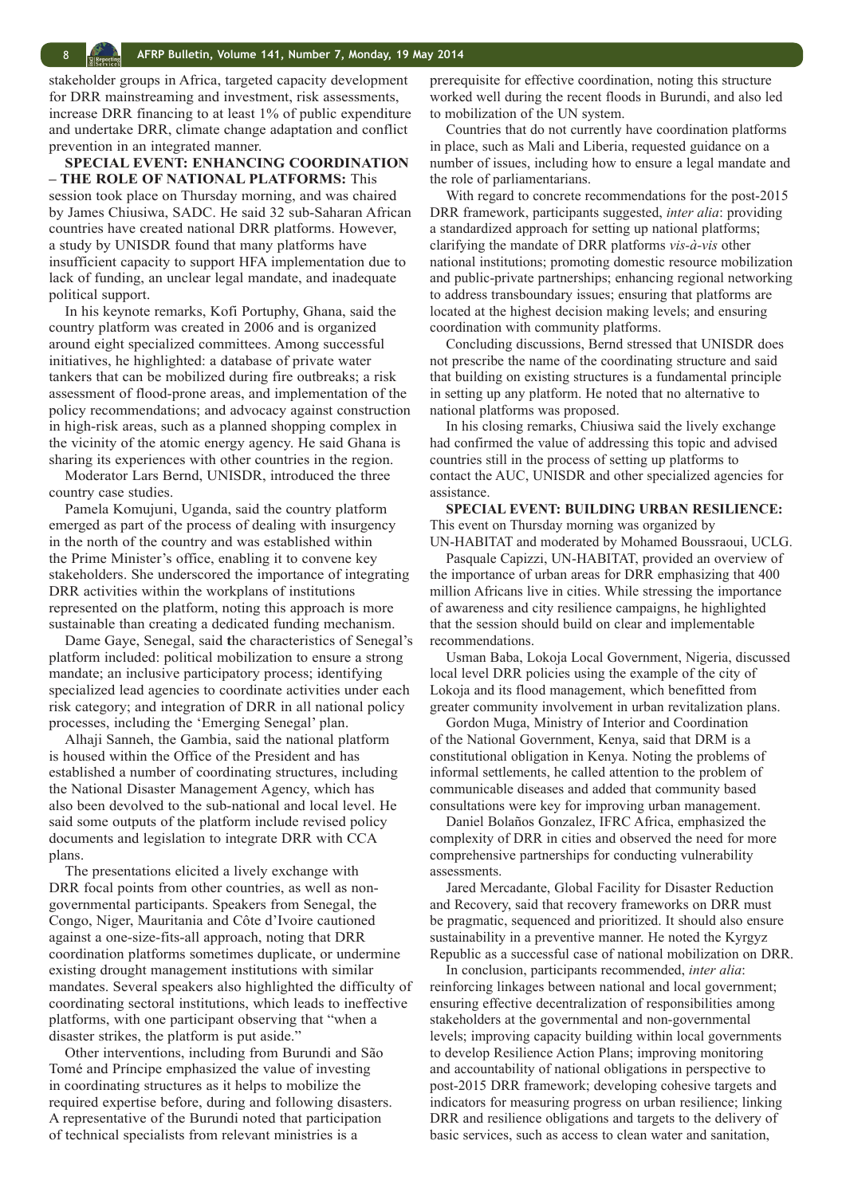stakeholder groups in Africa, targeted capacity development for DRR mainstreaming and investment, risk assessments, increase DRR financing to at least 1% of public expenditure and undertake DRR, climate change adaptation and conflict prevention in an integrated manner.

**SPECIAL EVENT: ENHANCING COORDINATION – THE ROLE OF NATIONAL PLATFORMS:** This session took place on Thursday morning, and was chaired by James Chiusiwa, SADC. He said 32 sub-Saharan African countries have created national DRR platforms. However, a study by UNISDR found that many platforms have insufficient capacity to support HFA implementation due to lack of funding, an unclear legal mandate, and inadequate political support.

In his keynote remarks, Kofi Portuphy, Ghana, said the country platform was created in 2006 and is organized around eight specialized committees. Among successful initiatives, he highlighted: a database of private water tankers that can be mobilized during fire outbreaks; a risk assessment of flood-prone areas, and implementation of the policy recommendations; and advocacy against construction in high-risk areas, such as a planned shopping complex in the vicinity of the atomic energy agency. He said Ghana is sharing its experiences with other countries in the region.

Moderator Lars Bernd, UNISDR, introduced the three country case studies.

Pamela Komujuni, Uganda, said the country platform emerged as part of the process of dealing with insurgency in the north of the country and was established within the Prime Minister's office, enabling it to convene key stakeholders. She underscored the importance of integrating DRR activities within the workplans of institutions represented on the platform, noting this approach is more sustainable than creating a dedicated funding mechanism.

Dame Gaye, Senegal, said **t**he characteristics of Senegal's platform included: political mobilization to ensure a strong mandate; an inclusive participatory process; identifying specialized lead agencies to coordinate activities under each risk category; and integration of DRR in all national policy processes, including the 'Emerging Senegal' plan.

Alhaji Sanneh, the Gambia, said the national platform is housed within the Office of the President and has established a number of coordinating structures, including the National Disaster Management Agency, which has also been devolved to the sub-national and local level. He said some outputs of the platform include revised policy documents and legislation to integrate DRR with CCA plans.

The presentations elicited a lively exchange with DRR focal points from other countries, as well as nongovernmental participants. Speakers from Senegal, the Congo, Niger, Mauritania and Côte d'Ivoire cautioned against a one-size-fits-all approach, noting that DRR coordination platforms sometimes duplicate, or undermine existing drought management institutions with similar mandates. Several speakers also highlighted the difficulty of coordinating sectoral institutions, which leads to ineffective platforms, with one participant observing that "when a disaster strikes, the platform is put aside."

Other interventions, including from Burundi and São Tomé and Príncipe emphasized the value of investing in coordinating structures as it helps to mobilize the required expertise before, during and following disasters. A representative of the Burundi noted that participation of technical specialists from relevant ministries is a

prerequisite for effective coordination, noting this structure worked well during the recent floods in Burundi, and also led to mobilization of the UN system.

Countries that do not currently have coordination platforms in place, such as Mali and Liberia, requested guidance on a number of issues, including how to ensure a legal mandate and the role of parliamentarians.

With regard to concrete recommendations for the post-2015 DRR framework, participants suggested, *inter alia*: providing a standardized approach for setting up national platforms; clarifying the mandate of DRR platforms *vis-à-vis* other national institutions; promoting domestic resource mobilization and public-private partnerships; enhancing regional networking to address transboundary issues; ensuring that platforms are located at the highest decision making levels; and ensuring coordination with community platforms.

Concluding discussions, Bernd stressed that UNISDR does not prescribe the name of the coordinating structure and said that building on existing structures is a fundamental principle in setting up any platform. He noted that no alternative to national platforms was proposed.

In his closing remarks, Chiusiwa said the lively exchange had confirmed the value of addressing this topic and advised countries still in the process of setting up platforms to contact the AUC, UNISDR and other specialized agencies for assistance.

**SPECIAL EVENT: BUILDING URBAN RESILIENCE:**  This event on Thursday morning was organized by UN-HABITAT and moderated by Mohamed Boussraoui, UCLG.

Pasquale Capizzi, UN-HABITAT, provided an overview of the importance of urban areas for DRR emphasizing that 400 million Africans live in cities. While stressing the importance of awareness and city resilience campaigns, he highlighted that the session should build on clear and implementable recommendations.

Usman Baba, Lokoja Local Government, Nigeria, discussed local level DRR policies using the example of the city of Lokoja and its flood management, which benefitted from greater community involvement in urban revitalization plans.

Gordon Muga, Ministry of Interior and Coordination of the National Government, Kenya, said that DRM is a constitutional obligation in Kenya. Noting the problems of informal settlements, he called attention to the problem of communicable diseases and added that community based consultations were key for improving urban management.

Daniel Bolaños Gonzalez, IFRC Africa, emphasized the complexity of DRR in cities and observed the need for more comprehensive partnerships for conducting vulnerability assessments.

Jared Mercadante, Global Facility for Disaster Reduction and Recovery, said that recovery frameworks on DRR must be pragmatic, sequenced and prioritized. It should also ensure sustainability in a preventive manner. He noted the Kyrgyz Republic as a successful case of national mobilization on DRR.

In conclusion, participants recommended, *inter alia*: reinforcing linkages between national and local government; ensuring effective decentralization of responsibilities among stakeholders at the governmental and non-governmental levels; improving capacity building within local governments to develop Resilience Action Plans; improving monitoring and accountability of national obligations in perspective to post-2015 DRR framework; developing cohesive targets and indicators for measuring progress on urban resilience; linking DRR and resilience obligations and targets to the delivery of basic services, such as access to clean water and sanitation,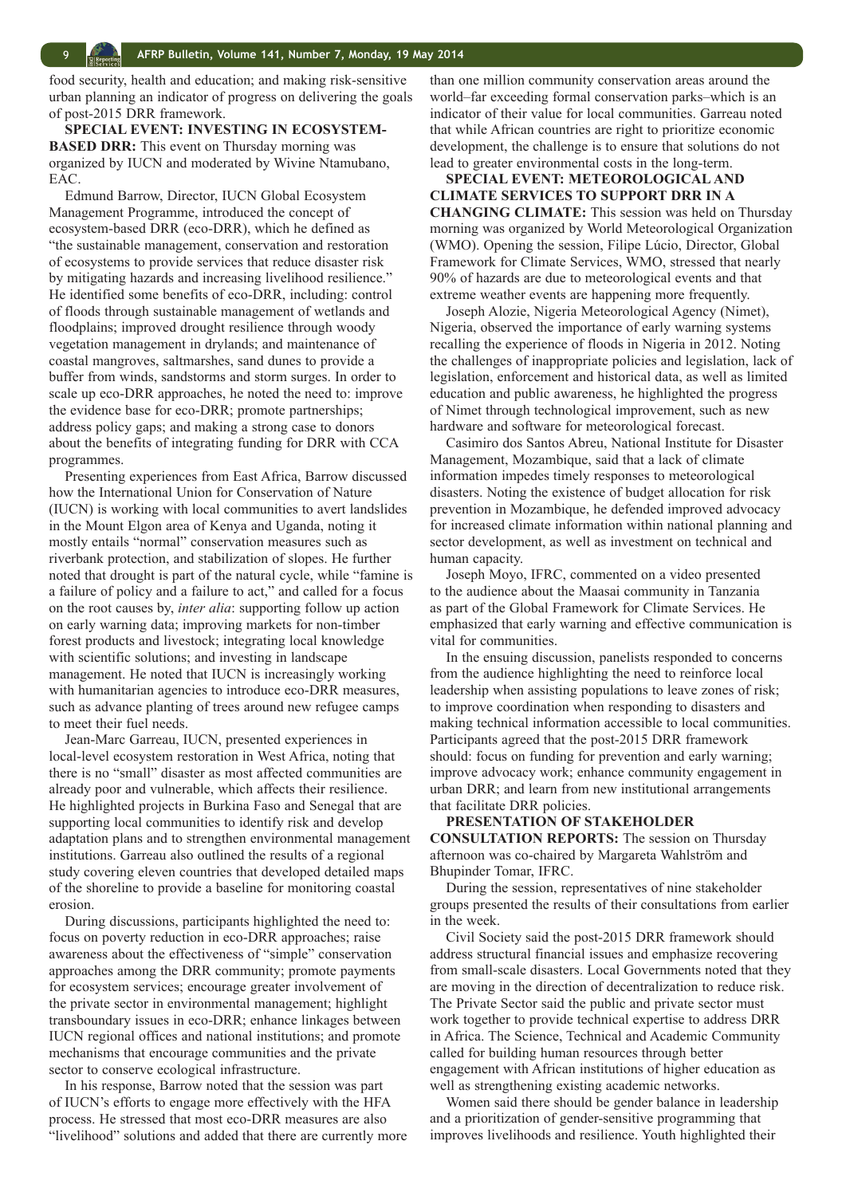food security, health and education; and making risk-sensitive urban planning an indicator of progress on delivering the goals of post-2015 DRR framework.

**SPECIAL EVENT: INVESTING IN ECOSYSTEM-BASED DRR:** This event on Thursday morning was organized by IUCN and moderated by Wivine Ntamubano, EAC.

Edmund Barrow, Director, IUCN Global Ecosystem Management Programme, introduced the concept of ecosystem-based DRR (eco-DRR), which he defined as "the sustainable management, conservation and restoration of ecosystems to provide services that reduce disaster risk by mitigating hazards and increasing livelihood resilience." He identified some benefits of eco-DRR, including: control of floods through sustainable management of wetlands and floodplains; improved drought resilience through woody vegetation management in drylands; and maintenance of coastal mangroves, saltmarshes, sand dunes to provide a buffer from winds, sandstorms and storm surges. In order to scale up eco-DRR approaches, he noted the need to: improve the evidence base for eco-DRR; promote partnerships; address policy gaps; and making a strong case to donors about the benefits of integrating funding for DRR with CCA programmes.

Presenting experiences from East Africa, Barrow discussed how the International Union for Conservation of Nature (IUCN) is working with local communities to avert landslides in the Mount Elgon area of Kenya and Uganda, noting it mostly entails "normal" conservation measures such as riverbank protection, and stabilization of slopes. He further noted that drought is part of the natural cycle, while "famine is a failure of policy and a failure to act," and called for a focus on the root causes by, *inter alia*: supporting follow up action on early warning data; improving markets for non-timber forest products and livestock; integrating local knowledge with scientific solutions; and investing in landscape management. He noted that IUCN is increasingly working with humanitarian agencies to introduce eco-DRR measures, such as advance planting of trees around new refugee camps to meet their fuel needs.

Jean-Marc Garreau, IUCN, presented experiences in local-level ecosystem restoration in West Africa, noting that there is no "small" disaster as most affected communities are already poor and vulnerable, which affects their resilience. He highlighted projects in Burkina Faso and Senegal that are supporting local communities to identify risk and develop adaptation plans and to strengthen environmental management institutions. Garreau also outlined the results of a regional study covering eleven countries that developed detailed maps of the shoreline to provide a baseline for monitoring coastal erosion.

During discussions, participants highlighted the need to: focus on poverty reduction in eco-DRR approaches; raise awareness about the effectiveness of "simple" conservation approaches among the DRR community; promote payments for ecosystem services; encourage greater involvement of the private sector in environmental management; highlight transboundary issues in eco-DRR; enhance linkages between IUCN regional offices and national institutions; and promote mechanisms that encourage communities and the private sector to conserve ecological infrastructure.

In his response, Barrow noted that the session was part of IUCN's efforts to engage more effectively with the HFA process. He stressed that most eco-DRR measures are also "livelihood" solutions and added that there are currently more than one million community conservation areas around the world–far exceeding formal conservation parks–which is an indicator of their value for local communities. Garreau noted that while African countries are right to prioritize economic development, the challenge is to ensure that solutions do not lead to greater environmental costs in the long-term.

#### **SPECIAL EVENT: METEOROLOGICAL AND CLIMATE SERVICES TO SUPPORT DRR IN A CHANGING CLIMATE:** This session was held on Thursday morning was organized by World Meteorological Organization (WMO). Opening the session, Filipe Lúcio, Director, Global Framework for Climate Services, WMO, stressed that nearly 90% of hazards are due to meteorological events and that extreme weather events are happening more frequently.

Joseph Alozie, Nigeria Meteorological Agency (Nimet), Nigeria, observed the importance of early warning systems recalling the experience of floods in Nigeria in 2012. Noting the challenges of inappropriate policies and legislation, lack of legislation, enforcement and historical data, as well as limited education and public awareness, he highlighted the progress of Nimet through technological improvement, such as new hardware and software for meteorological forecast.

Casimiro dos Santos Abreu, National Institute for Disaster Management, Mozambique, said that a lack of climate information impedes timely responses to meteorological disasters. Noting the existence of budget allocation for risk prevention in Mozambique, he defended improved advocacy for increased climate information within national planning and sector development, as well as investment on technical and human capacity.

Joseph Moyo, IFRC, commented on a video presented to the audience about the Maasai community in Tanzania as part of the Global Framework for Climate Services. He emphasized that early warning and effective communication is vital for communities.

In the ensuing discussion, panelists responded to concerns from the audience highlighting the need to reinforce local leadership when assisting populations to leave zones of risk; to improve coordination when responding to disasters and making technical information accessible to local communities. Participants agreed that the post-2015 DRR framework should: focus on funding for prevention and early warning; improve advocacy work; enhance community engagement in urban DRR; and learn from new institutional arrangements that facilitate DRR policies.

### **PRESENTATION OF STAKEHOLDER**

**CONSULTATION REPORTS:** The session on Thursday afternoon was co-chaired by Margareta Wahlström and Bhupinder Tomar, IFRC.

During the session, representatives of nine stakeholder groups presented the results of their consultations from earlier in the week.

Civil Society said the post-2015 DRR framework should address structural financial issues and emphasize recovering from small-scale disasters. Local Governments noted that they are moving in the direction of decentralization to reduce risk. The Private Sector said the public and private sector must work together to provide technical expertise to address DRR in Africa. The Science, Technical and Academic Community called for building human resources through better engagement with African institutions of higher education as well as strengthening existing academic networks.

Women said there should be gender balance in leadership and a prioritization of gender-sensitive programming that improves livelihoods and resilience. Youth highlighted their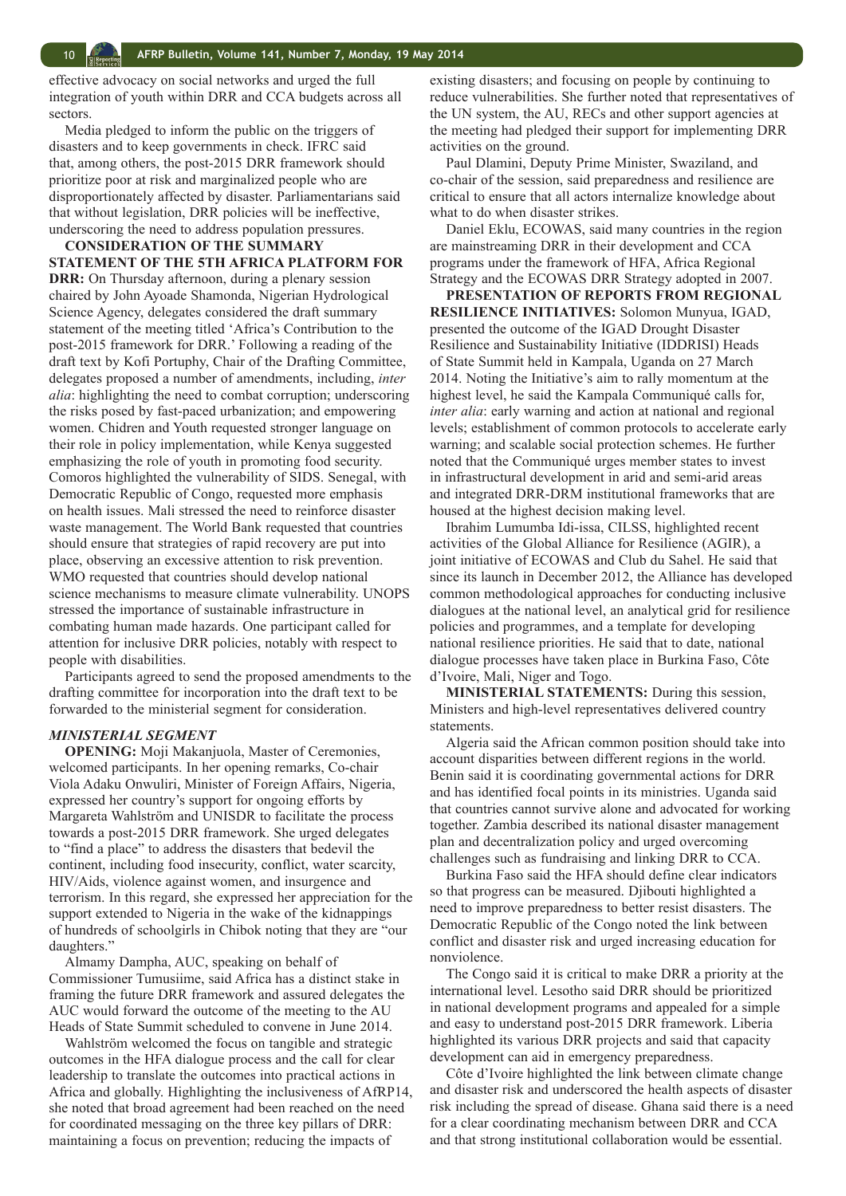effective advocacy on social networks and urged the full integration of youth within DRR and CCA budgets across all sectors.

Media pledged to inform the public on the triggers of disasters and to keep governments in check. IFRC said that, among others, the post-2015 DRR framework should prioritize poor at risk and marginalized people who are disproportionately affected by disaster. Parliamentarians said that without legislation, DRR policies will be ineffective, underscoring the need to address population pressures.

**CONSIDERATION OF THE SUMMARY STATEMENT OF THE 5TH AFRICA PLATFORM FOR DRR:** On Thursday afternoon, during a plenary session chaired by John Ayoade Shamonda, Nigerian Hydrological Science Agency, delegates considered the draft summary statement of the meeting titled 'Africa's Contribution to the post-2015 framework for DRR.' Following a reading of the draft text by Kofi Portuphy, Chair of the Drafting Committee, delegates proposed a number of amendments, including, *inter alia*: highlighting the need to combat corruption; underscoring the risks posed by fast-paced urbanization; and empowering women. Chidren and Youth requested stronger language on their role in policy implementation, while Kenya suggested emphasizing the role of youth in promoting food security. Comoros highlighted the vulnerability of SIDS. Senegal, with Democratic Republic of Congo, requested more emphasis on health issues. Mali stressed the need to reinforce disaster waste management. The World Bank requested that countries should ensure that strategies of rapid recovery are put into place, observing an excessive attention to risk prevention. WMO requested that countries should develop national science mechanisms to measure climate vulnerability. UNOPS stressed the importance of sustainable infrastructure in combating human made hazards. One participant called for attention for inclusive DRR policies, notably with respect to people with disabilities.

Participants agreed to send the proposed amendments to the drafting committee for incorporation into the draft text to be forwarded to the ministerial segment for consideration.

#### *MINISTERIAL SEGMENT*

**OPENING:** Moji Makanjuola, Master of Ceremonies, welcomed participants. In her opening remarks, Co-chair Viola Adaku Onwuliri, Minister of Foreign Affairs, Nigeria, expressed her country's support for ongoing efforts by Margareta Wahlström and UNISDR to facilitate the process towards a post-2015 DRR framework. She urged delegates to "find a place" to address the disasters that bedevil the continent, including food insecurity, conflict, water scarcity, HIV/Aids, violence against women, and insurgence and terrorism. In this regard, she expressed her appreciation for the support extended to Nigeria in the wake of the kidnappings of hundreds of schoolgirls in Chibok noting that they are "our daughters."

Almamy Dampha, AUC, speaking on behalf of Commissioner Tumusiime, said Africa has a distinct stake in framing the future DRR framework and assured delegates the AUC would forward the outcome of the meeting to the AU Heads of State Summit scheduled to convene in June 2014.

Wahlström welcomed the focus on tangible and strategic outcomes in the HFA dialogue process and the call for clear leadership to translate the outcomes into practical actions in Africa and globally. Highlighting the inclusiveness of AfRP14, she noted that broad agreement had been reached on the need for coordinated messaging on the three key pillars of DRR: maintaining a focus on prevention; reducing the impacts of

existing disasters; and focusing on people by continuing to reduce vulnerabilities. She further noted that representatives of the UN system, the AU, RECs and other support agencies at the meeting had pledged their support for implementing DRR activities on the ground.

Paul Dlamini, Deputy Prime Minister, Swaziland, and co-chair of the session, said preparedness and resilience are critical to ensure that all actors internalize knowledge about what to do when disaster strikes.

Daniel Eklu, ECOWAS, said many countries in the region are mainstreaming DRR in their development and CCA programs under the framework of HFA, Africa Regional Strategy and the ECOWAS DRR Strategy adopted in 2007.

**PRESENTATION OF REPORTS FROM REGIONAL RESILIENCE INITIATIVES:** Solomon Munyua, IGAD, presented the outcome of the IGAD Drought Disaster Resilience and Sustainability Initiative (IDDRISI) Heads of State Summit held in Kampala, Uganda on 27 March 2014. Noting the Initiative's aim to rally momentum at the highest level, he said the Kampala Communiqué calls for, *inter alia*: early warning and action at national and regional levels; establishment of common protocols to accelerate early warning; and scalable social protection schemes. He further noted that the Communiqué urges member states to invest in infrastructural development in arid and semi-arid areas and integrated DRR-DRM institutional frameworks that are housed at the highest decision making level.

Ibrahim Lumumba Idi-issa, CILSS, highlighted recent activities of the Global Alliance for Resilience (AGIR), a joint initiative of ECOWAS and Club du Sahel. He said that since its launch in December 2012, the Alliance has developed common methodological approaches for conducting inclusive dialogues at the national level, an analytical grid for resilience policies and programmes, and a template for developing national resilience priorities. He said that to date, national dialogue processes have taken place in Burkina Faso, Côte d'Ivoire, Mali, Niger and Togo.

**MINISTERIAL STATEMENTS:** During this session, Ministers and high-level representatives delivered country statements.

Algeria said the African common position should take into account disparities between different regions in the world. Benin said it is coordinating governmental actions for DRR and has identified focal points in its ministries. Uganda said that countries cannot survive alone and advocated for working together. Zambia described its national disaster management plan and decentralization policy and urged overcoming challenges such as fundraising and linking DRR to CCA.

Burkina Faso said the HFA should define clear indicators so that progress can be measured. Djibouti highlighted a need to improve preparedness to better resist disasters. The Democratic Republic of the Congo noted the link between conflict and disaster risk and urged increasing education for nonviolence.

The Congo said it is critical to make DRR a priority at the international level. Lesotho said DRR should be prioritized in national development programs and appealed for a simple and easy to understand post-2015 DRR framework. Liberia highlighted its various DRR projects and said that capacity development can aid in emergency preparedness.

Côte d'Ivoire highlighted the link between climate change and disaster risk and underscored the health aspects of disaster risk including the spread of disease. Ghana said there is a need for a clear coordinating mechanism between DRR and CCA and that strong institutional collaboration would be essential.

<span id="page-9-0"></span>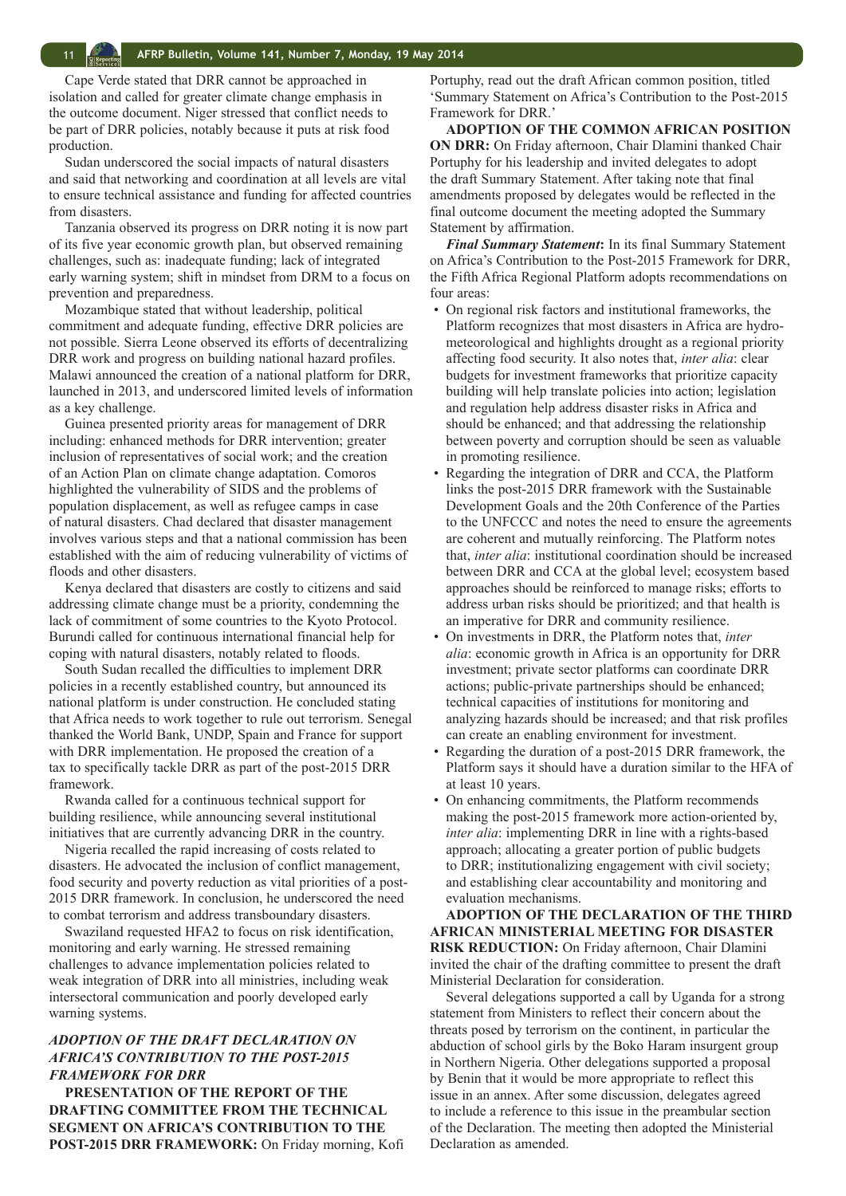Cape Verde stated that DRR cannot be approached in isolation and called for greater climate change emphasis in the outcome document. Niger stressed that conflict needs to be part of DRR policies, notably because it puts at risk food production.

Sudan underscored the social impacts of natural disasters and said that networking and coordination at all levels are vital to ensure technical assistance and funding for affected countries from disasters.

Tanzania observed its progress on DRR noting it is now part of its five year economic growth plan, but observed remaining challenges, such as: inadequate funding; lack of integrated early warning system; shift in mindset from DRM to a focus on prevention and preparedness.

Mozambique stated that without leadership, political commitment and adequate funding, effective DRR policies are not possible. Sierra Leone observed its efforts of decentralizing DRR work and progress on building national hazard profiles. Malawi announced the creation of a national platform for DRR, launched in 2013, and underscored limited levels of information as a key challenge.

Guinea presented priority areas for management of DRR including: enhanced methods for DRR intervention; greater inclusion of representatives of social work; and the creation of an Action Plan on climate change adaptation. Comoros highlighted the vulnerability of SIDS and the problems of population displacement, as well as refugee camps in case of natural disasters. Chad declared that disaster management involves various steps and that a national commission has been established with the aim of reducing vulnerability of victims of floods and other disasters.

Kenya declared that disasters are costly to citizens and said addressing climate change must be a priority, condemning the lack of commitment of some countries to the Kyoto Protocol. Burundi called for continuous international financial help for coping with natural disasters, notably related to floods.

South Sudan recalled the difficulties to implement DRR policies in a recently established country, but announced its national platform is under construction. He concluded stating that Africa needs to work together to rule out terrorism. Senegal thanked the World Bank, UNDP, Spain and France for support with DRR implementation. He proposed the creation of a tax to specifically tackle DRR as part of the post-2015 DRR framework.

Rwanda called for a continuous technical support for building resilience, while announcing several institutional initiatives that are currently advancing DRR in the country.

Nigeria recalled the rapid increasing of costs related to disasters. He advocated the inclusion of conflict management, food security and poverty reduction as vital priorities of a post-2015 DRR framework. In conclusion, he underscored the need to combat terrorism and address transboundary disasters.

Swaziland requested HFA2 to focus on risk identification, monitoring and early warning. He stressed remaining challenges to advance implementation policies related to weak integration of DRR into all ministries, including weak intersectoral communication and poorly developed early warning systems.

#### *ADOPTION OF THE DRAFT DECLARATION ON AFRICA'S CONTRIBUTION TO THE POST-2015 FRAMEWORK FOR DRR*

**PRESENTATION OF THE REPORT OF THE DRAFTING COMMITTEE FROM THE TECHNICAL SEGMENT ON AFRICA'S CONTRIBUTION TO THE POST-2015 DRR FRAMEWORK:** On Friday morning, Kofi Portuphy, read out the draft African common position, titled 'Summary Statement on Africa's Contribution to the Post-2015 Framework for DRR.'

**ADOPTION OF THE COMMON AFRICAN POSITION ON DRR:** On Friday afternoon, Chair Dlamini thanked Chair Portuphy for his leadership and invited delegates to adopt the draft Summary Statement. After taking note that final amendments proposed by delegates would be reflected in the final outcome document the meeting adopted the Summary Statement by affirmation.

*Final Summary Statement***:** In its final Summary Statement on Africa's Contribution to the Post-2015 Framework for DRR, the Fifth Africa Regional Platform adopts recommendations on four areas:

- On regional risk factors and institutional frameworks, the Platform recognizes that most disasters in Africa are hydrometeorological and highlights drought as a regional priority affecting food security. It also notes that, *inter alia*: clear budgets for investment frameworks that prioritize capacity building will help translate policies into action; legislation and regulation help address disaster risks in Africa and should be enhanced; and that addressing the relationship between poverty and corruption should be seen as valuable in promoting resilience.
- Regarding the integration of DRR and CCA, the Platform links the post-2015 DRR framework with the Sustainable Development Goals and the 20th Conference of the Parties to the UNFCCC and notes the need to ensure the agreements are coherent and mutually reinforcing. The Platform notes that, *inter alia*: institutional coordination should be increased between DRR and CCA at the global level; ecosystem based approaches should be reinforced to manage risks; efforts to address urban risks should be prioritized; and that health is an imperative for DRR and community resilience.
- On investments in DRR, the Platform notes that, *inter alia*: economic growth in Africa is an opportunity for DRR investment; private sector platforms can coordinate DRR actions; public-private partnerships should be enhanced; technical capacities of institutions for monitoring and analyzing hazards should be increased; and that risk profiles can create an enabling environment for investment.
- Regarding the duration of a post-2015 DRR framework, the Platform says it should have a duration similar to the HFA of at least 10 years.
- On enhancing commitments, the Platform recommends making the post-2015 framework more action-oriented by, *inter alia*: implementing DRR in line with a rights-based approach; allocating a greater portion of public budgets to DRR; institutionalizing engagement with civil society; and establishing clear accountability and monitoring and evaluation mechanisms.

**ADOPTION OF THE DECLARATION OF THE THIRD AFRICAN MINISTERIAL MEETING FOR DISASTER RISK REDUCTION:** On Friday afternoon, Chair Dlamini invited the chair of the drafting committee to present the draft Ministerial Declaration for consideration.

Several delegations supported a call by Uganda for a strong statement from Ministers to reflect their concern about the threats posed by terrorism on the continent, in particular the abduction of school girls by the Boko Haram insurgent group in Northern Nigeria. Other delegations supported a proposal by Benin that it would be more appropriate to reflect this issue in an annex. After some discussion, delegates agreed to include a reference to this issue in the preambular section of the Declaration. The meeting then adopted the Ministerial Declaration as amended.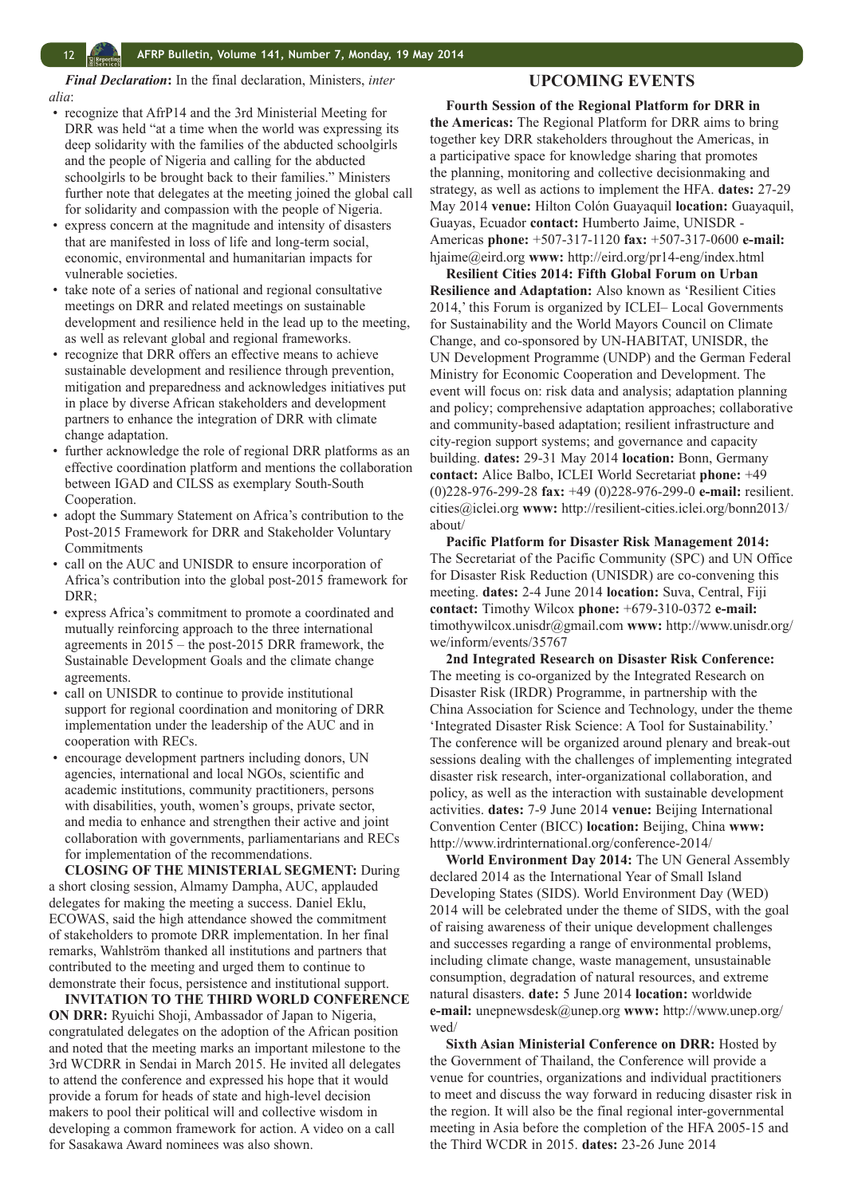<span id="page-11-0"></span>*Final Declaration***:** In the final declaration, Ministers, *inter alia*:

- recognize that AfrP14 and the 3rd Ministerial Meeting for DRR was held "at a time when the world was expressing its deep solidarity with the families of the abducted schoolgirls and the people of Nigeria and calling for the abducted schoolgirls to be brought back to their families." Ministers further note that delegates at the meeting joined the global call for solidarity and compassion with the people of Nigeria.
- express concern at the magnitude and intensity of disasters that are manifested in loss of life and long-term social, economic, environmental and humanitarian impacts for vulnerable societies.
- take note of a series of national and regional consultative meetings on DRR and related meetings on sustainable development and resilience held in the lead up to the meeting, as well as relevant global and regional frameworks.
- recognize that DRR offers an effective means to achieve sustainable development and resilience through prevention, mitigation and preparedness and acknowledges initiatives put in place by diverse African stakeholders and development partners to enhance the integration of DRR with climate change adaptation.
- further acknowledge the role of regional DRR platforms as an effective coordination platform and mentions the collaboration between IGAD and CILSS as exemplary South-South Cooperation.
- adopt the Summary Statement on Africa's contribution to the Post-2015 Framework for DRR and Stakeholder Voluntary **Commitments**
- call on the AUC and UNISDR to ensure incorporation of Africa's contribution into the global post-2015 framework for DRR;
- express Africa's commitment to promote a coordinated and mutually reinforcing approach to the three international agreements in 2015 – the post-2015 DRR framework, the Sustainable Development Goals and the climate change agreements.
- call on UNISDR to continue to provide institutional support for regional coordination and monitoring of DRR implementation under the leadership of the AUC and in cooperation with RECs.
- encourage development partners including donors, UN agencies, international and local NGOs, scientific and academic institutions, community practitioners, persons with disabilities, youth, women's groups, private sector, and media to enhance and strengthen their active and joint collaboration with governments, parliamentarians and RECs for implementation of the recommendations.

**CLOSING OF THE MINISTERIAL SEGMENT:** During a short closing session, Almamy Dampha, AUC, applauded delegates for making the meeting a success. Daniel Eklu, ECOWAS, said the high attendance showed the commitment of stakeholders to promote DRR implementation. In her final remarks, Wahlström thanked all institutions and partners that contributed to the meeting and urged them to continue to demonstrate their focus, persistence and institutional support.

**INVITATION TO THE THIRD WORLD CONFERENCE ON DRR:** Ryuichi Shoji, Ambassador of Japan to Nigeria, congratulated delegates on the adoption of the African position and noted that the meeting marks an important milestone to the 3rd WCDRR in Sendai in March 2015. He invited all delegates to attend the conference and expressed his hope that it would provide a forum for heads of state and high-level decision makers to pool their political will and collective wisdom in developing a common framework for action. A video on a call for Sasakawa Award nominees was also shown.

#### **UPCOMING EVENTS**

**Fourth Session of the Regional Platform for DRR in the Americas:** The Regional Platform for DRR aims to bring together key DRR stakeholders throughout the Americas, in a participative space for knowledge sharing that promotes the planning, monitoring and collective decisionmaking and strategy, as well as actions to implement the HFA. **dates:** 27-29 May 2014 **venue:** Hilton Colón Guayaquil **location:** Guayaquil, Guayas, Ecuador **contact:** Humberto Jaime, UNISDR - Americas **phone:** +507-317-1120 **fax:** +507-317-0600 **e-mail:**  hjaime@eird.org **www:** http://eird.org/pr14-eng/index.html

**Resilient Cities 2014: Fifth Global Forum on Urban Resilience and Adaptation:** Also known as 'Resilient Cities 2014,' this Forum is organized by ICLEI– Local Governments for Sustainability and the World Mayors Council on Climate Change, and co-sponsored by UN-HABITAT, UNISDR, the UN Development Programme (UNDP) and the German Federal Ministry for Economic Cooperation and Development. The event will focus on: risk data and analysis; adaptation planning and policy; comprehensive adaptation approaches; collaborative and community-based adaptation; resilient infrastructure and city-region support systems; and governance and capacity building. **dates:** 29-31 May 2014 **location:** Bonn, Germany **contact:** Alice Balbo, ICLEI World Secretariat **phone:** +49 (0)228-976-299-28 **fax:** +49 (0)228-976-299-0 **e-mail:** resilient. cities@iclei.org **www:** http://resilient-cities.iclei.org/bonn2013/ about/

**Pacific Platform for Disaster Risk Management 2014:**  The Secretariat of the Pacific Community (SPC) and UN Office for Disaster Risk Reduction (UNISDR) are co-convening this meeting. **dates:** 2-4 June 2014 **location:** Suva, Central, Fiji **contact:** Timothy Wilcox **phone:** +679-310-0372 **e-mail:**  timothywilcox.unisdr@gmail.com **www:** http://www.unisdr.org/ we/inform/events/35767

**2nd Integrated Research on Disaster Risk Conference:** The meeting is co-organized by the Integrated Research on Disaster Risk (IRDR) Programme, in partnership with the China Association for Science and Technology, under the theme 'Integrated Disaster Risk Science: A Tool for Sustainability.' The conference will be organized around plenary and break-out sessions dealing with the challenges of implementing integrated disaster risk research, inter-organizational collaboration, and policy, as well as the interaction with sustainable development activities. **dates:** 7-9 June 2014 **venue:** Beijing International Convention Center (BICC) **location:** Beijing, China **www:**  http://www.irdrinternational.org/conference-2014/

**World Environment Day 2014:** The UN General Assembly declared 2014 as the International Year of Small Island Developing States (SIDS). World Environment Day (WED) 2014 will be celebrated under the theme of SIDS, with the goal of raising awareness of their unique development challenges and successes regarding a range of environmental problems, including climate change, waste management, unsustainable consumption, degradation of natural resources, and extreme natural disasters. **date:** 5 June 2014 **location:** worldwide **e-mail:** unepnewsdesk@unep.org **www:** http://www.unep.org/ wed/

**Sixth Asian Ministerial Conference on DRR:** Hosted by the Government of Thailand, the Conference will provide a venue for countries, organizations and individual practitioners to meet and discuss the way forward in reducing disaster risk in the region. It will also be the final regional inter-governmental meeting in Asia before the completion of the HFA 2005-15 and the Third WCDR in 2015. **dates:** 23-26 June 2014